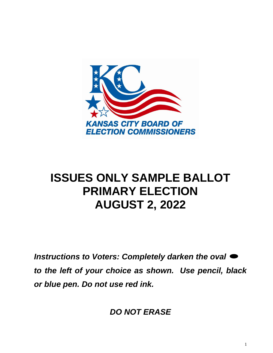

# **ISSUES ONLY SAMPLE BALLOT PRIMARY ELECTION AUGUST 2, 2022**

*Instructions to Voters: Completely darken the oval to the left of your choice as shown. Use pencil, black or blue pen. Do not use red ink.* 

*DO NOT ERASE*